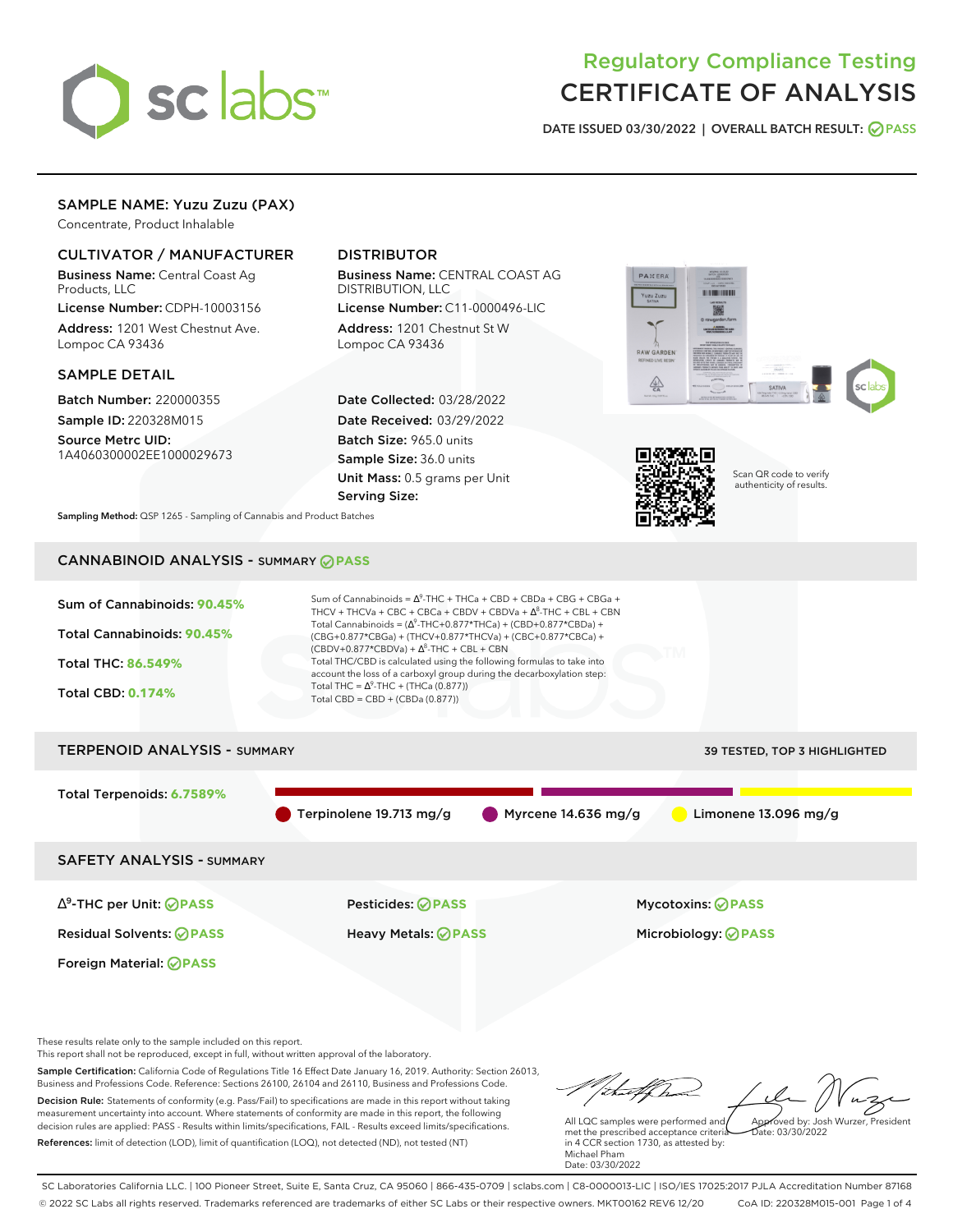

# Regulatory Compliance Testing CERTIFICATE OF ANALYSIS

**DATE ISSUED 03/30/2022 | OVERALL BATCH RESULT: PASS**

# SAMPLE NAME: Yuzu Zuzu (PAX)

Concentrate, Product Inhalable

# CULTIVATOR / MANUFACTURER

Business Name: Central Coast Ag Products, LLC

License Number: CDPH-10003156 Address: 1201 West Chestnut Ave. Lompoc CA 93436

#### SAMPLE DETAIL

Batch Number: 220000355 Sample ID: 220328M015

Source Metrc UID: 1A4060300002EE1000029673

# DISTRIBUTOR

Business Name: CENTRAL COAST AG DISTRIBUTION, LLC

License Number: C11-0000496-LIC Address: 1201 Chestnut St W Lompoc CA 93436

Date Collected: 03/28/2022 Date Received: 03/29/2022 Batch Size: 965.0 units Sample Size: 36.0 units Unit Mass: 0.5 grams per Unit Serving Size:





Scan QR code to verify authenticity of results.

**Sampling Method:** QSP 1265 - Sampling of Cannabis and Product Batches

# CANNABINOID ANALYSIS - SUMMARY **PASS**



Business and Professions Code. Reference: Sections 26100, 26104 and 26110, Business and Professions Code. Decision Rule: Statements of conformity (e.g. Pass/Fail) to specifications are made in this report without taking measurement uncertainty into account. Where statements of conformity are made in this report, the following decision rules are applied: PASS - Results within limits/specifications, FAIL - Results exceed limits/specifications. References: limit of detection (LOD), limit of quantification (LOQ), not detected (ND), not tested (NT)

tu#f h Approved by: Josh Wurzer, President

 $ate: 03/30/2022$ 

All LQC samples were performed and met the prescribed acceptance criteria in 4 CCR section 1730, as attested by: Michael Pham Date: 03/30/2022

SC Laboratories California LLC. | 100 Pioneer Street, Suite E, Santa Cruz, CA 95060 | 866-435-0709 | sclabs.com | C8-0000013-LIC | ISO/IES 17025:2017 PJLA Accreditation Number 87168 © 2022 SC Labs all rights reserved. Trademarks referenced are trademarks of either SC Labs or their respective owners. MKT00162 REV6 12/20 CoA ID: 220328M015-001 Page 1 of 4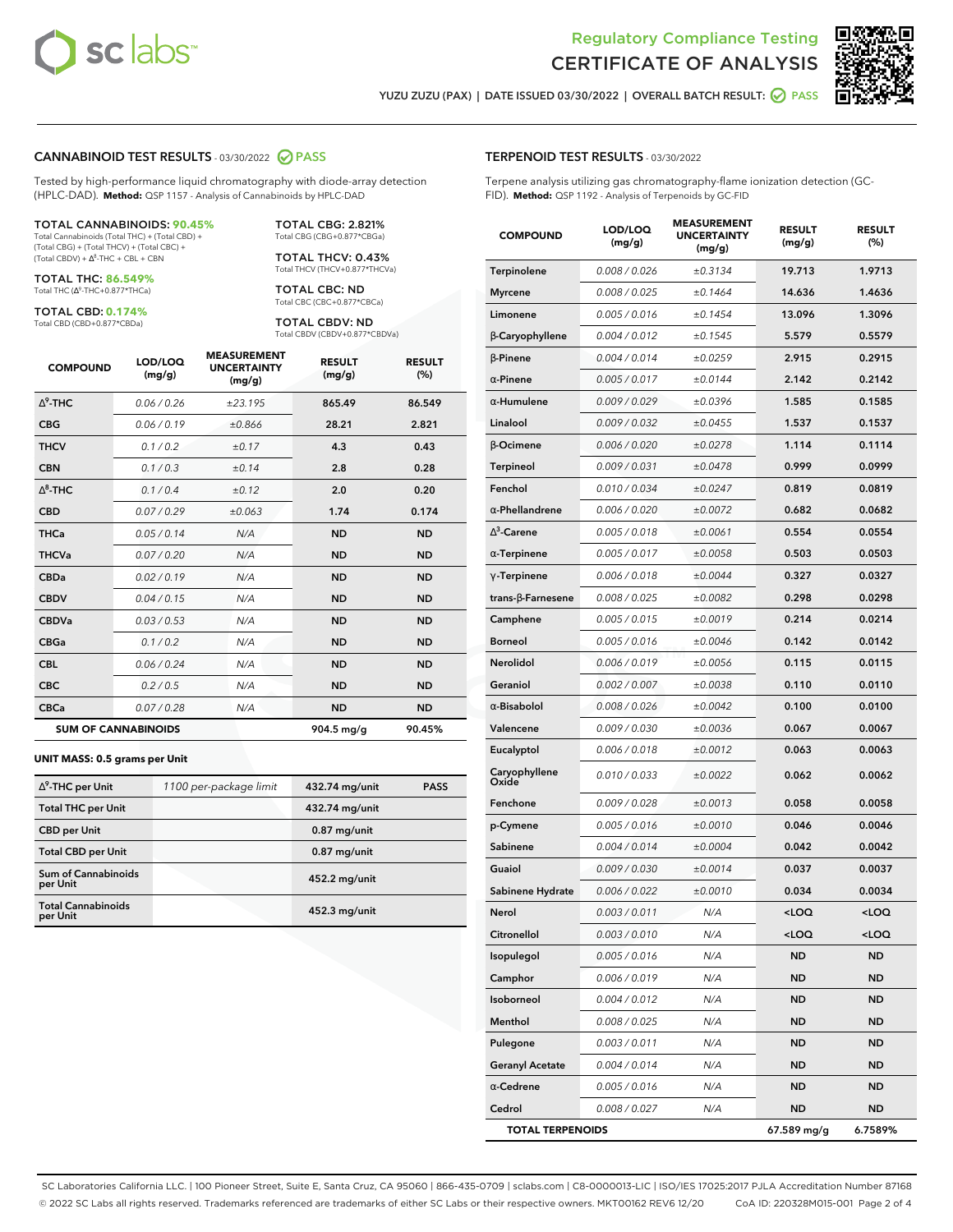



**YUZU ZUZU (PAX) | DATE ISSUED 03/30/2022 | OVERALL BATCH RESULT: PASS**

#### **CANNABINOID TEST RESULTS** - 03/30/2022 **PASS**

Tested by high-performance liquid chromatography with diode-array detection (HPLC-DAD). **Method:** QSP 1157 - Analysis of Cannabinoids by HPLC-DAD

#### TOTAL CANNABINOIDS: **90.45%** Total Cannabinoids (Total THC) + (Total CBD) +

(Total CBG) + (Total THCV) + (Total CBC) +  $(Total CBDV) +  $\Delta^8$ -THC + CBL + CBN$ 

TOTAL THC: **86.549%** Total THC (Ƽ-THC+0.877\*THCa)

TOTAL CBD: **0.174%**

Total CBD (CBD+0.877\*CBDa)

TOTAL CBG: 2.821% Total CBG (CBG+0.877\*CBGa)

TOTAL THCV: 0.43% Total THCV (THCV+0.877\*THCVa)

TOTAL CBC: ND Total CBC (CBC+0.877\*CBCa)

TOTAL CBDV: ND Total CBDV (CBDV+0.877\*CBDVa)

| <b>COMPOUND</b>  | LOD/LOQ<br>(mg/g)          | <b>MEASUREMENT</b><br><b>UNCERTAINTY</b><br>(mg/g) | <b>RESULT</b><br>(mg/g) | <b>RESULT</b><br>(%) |
|------------------|----------------------------|----------------------------------------------------|-------------------------|----------------------|
| $\Lambda^9$ -THC | 0.06 / 0.26                | ±23.195                                            | 865.49                  | 86.549               |
| <b>CBG</b>       | 0.06/0.19                  | ±0.866                                             | 28.21                   | 2.821                |
| <b>THCV</b>      | 0.1/0.2                    | ±0.17                                              | 4.3                     | 0.43                 |
| <b>CBN</b>       | 0.1/0.3                    | ±0.14                                              | 2.8                     | 0.28                 |
| $\Delta^8$ -THC  | 0.1 / 0.4                  | ±0.12                                              | 2.0                     | 0.20                 |
| <b>CBD</b>       | 0.07/0.29                  | ±0.063                                             | 1.74                    | 0.174                |
| <b>THCa</b>      | 0.05/0.14                  | N/A                                                | <b>ND</b>               | <b>ND</b>            |
| <b>THCVa</b>     | 0.07 / 0.20                | N/A                                                | <b>ND</b>               | <b>ND</b>            |
| <b>CBDa</b>      | 0.02/0.19                  | N/A                                                | <b>ND</b>               | <b>ND</b>            |
| <b>CBDV</b>      | 0.04 / 0.15                | N/A                                                | <b>ND</b>               | <b>ND</b>            |
| <b>CBDVa</b>     | 0.03/0.53                  | N/A                                                | <b>ND</b>               | <b>ND</b>            |
| <b>CBGa</b>      | 0.1/0.2                    | N/A                                                | <b>ND</b>               | <b>ND</b>            |
| <b>CBL</b>       | 0.06 / 0.24                | N/A                                                | <b>ND</b>               | <b>ND</b>            |
| <b>CBC</b>       | 0.2 / 0.5                  | N/A                                                | <b>ND</b>               | <b>ND</b>            |
| <b>CBCa</b>      | 0.07 / 0.28                | N/A                                                | <b>ND</b>               | <b>ND</b>            |
|                  | <b>SUM OF CANNABINOIDS</b> |                                                    | 904.5 mg/g              | 90.45%               |

#### **UNIT MASS: 0.5 grams per Unit**

| $\Delta^9$ -THC per Unit              | 1100 per-package limit | 432.74 mg/unit | <b>PASS</b> |
|---------------------------------------|------------------------|----------------|-------------|
| <b>Total THC per Unit</b>             |                        | 432.74 mg/unit |             |
| <b>CBD per Unit</b>                   |                        | $0.87$ mg/unit |             |
| <b>Total CBD per Unit</b>             |                        | $0.87$ mg/unit |             |
| Sum of Cannabinoids<br>per Unit       |                        | 452.2 mg/unit  |             |
| <b>Total Cannabinoids</b><br>per Unit |                        | 452.3 mg/unit  |             |

| <b>COMPOUND</b>         | LOD/LOQ<br>(mg/g) | <b>MEASUREMENT</b><br><b>UNCERTAINTY</b><br>(mg/g) | <b>RESULT</b><br>(mg/g) | <b>RESULT</b><br>(%) |
|-------------------------|-------------------|----------------------------------------------------|-------------------------|----------------------|
| Terpinolene             | 0.008 / 0.026     | ±0.3134                                            | 19.713                  | 1.9713               |
| <b>Myrcene</b>          | 0.008 / 0.025     | ±0.1464                                            | 14.636                  | 1.4636               |
| Limonene                | 0.005 / 0.016     | ±0.1454                                            | 13.096                  | 1.3096               |
| β-Caryophyllene         | 0.004 / 0.012     | ±0.1545                                            | 5.579                   | 0.5579               |
| $\beta$ -Pinene         | 0.004 / 0.014     | ±0.0259                                            | 2.915                   | 0.2915               |
| $\alpha$ -Pinene        | 0.005 / 0.017     | ±0.0144                                            | 2.142                   | 0.2142               |
| $\alpha$ -Humulene      | 0.009/0.029       | ±0.0396                                            | 1.585                   | 0.1585               |
| Linalool                | 0.009 / 0.032     | ±0.0455                                            | 1.537                   | 0.1537               |
| <b>B-Ocimene</b>        | 0.006 / 0.020     | ±0.0278                                            | 1.114                   | 0.1114               |
| Terpineol               | 0.009 / 0.031     | ±0.0478                                            | 0.999                   | 0.0999               |
| Fenchol                 | 0.010 / 0.034     | ±0.0247                                            | 0.819                   | 0.0819               |
| $\alpha$ -Phellandrene  | 0.006 / 0.020     | ±0.0072                                            | 0.682                   | 0.0682               |
| $\Delta^3$ -Carene      | 0.005 / 0.018     | ±0.0061                                            | 0.554                   | 0.0554               |
| $\alpha$ -Terpinene     | 0.005 / 0.017     | ±0.0058                                            | 0.503                   | 0.0503               |
| $\gamma$ -Terpinene     | 0.006 / 0.018     | ±0.0044                                            | 0.327                   | 0.0327               |
| trans-β-Farnesene       | 0.008 / 0.025     | ±0.0082                                            | 0.298                   | 0.0298               |
| Camphene                | 0.005 / 0.015     | ±0.0019                                            | 0.214                   | 0.0214               |
| <b>Borneol</b>          | 0.005 / 0.016     | ±0.0046                                            | 0.142                   | 0.0142               |
| Nerolidol               | 0.006 / 0.019     | ±0.0056                                            | 0.115                   | 0.0115               |
| Geraniol                | 0.002 / 0.007     | ±0.0038                                            | 0.110                   | 0.0110               |
| $\alpha$ -Bisabolol     | 0.008 / 0.026     | ±0.0042                                            | 0.100                   | 0.0100               |
| Valencene               | 0.009 / 0.030     | ±0.0036                                            | 0.067                   | 0.0067               |
| Eucalyptol              | 0.006 / 0.018     | ±0.0012                                            | 0.063                   | 0.0063               |
| Caryophyllene<br>Oxide  | 0.010 / 0.033     | ±0.0022                                            | 0.062                   | 0.0062               |
| Fenchone                | 0.009 / 0.028     | ±0.0013                                            | 0.058                   | 0.0058               |
| p-Cymene                | 0.005 / 0.016     | ±0.0010                                            | 0.046                   | 0.0046               |
| Sabinene                | 0.004 / 0.014     | ±0.0004                                            | 0.042                   | 0.0042               |
| Guaiol                  | 0.009 / 0.030     | ±0.0014                                            | 0.037                   | 0.0037               |
| Sabinene Hydrate        | 0.006 / 0.022     | ±0.0010                                            | 0.034                   | 0.0034               |
| Nerol                   | 0.003 / 0.011     | N/A                                                | $<$ LOO                 | $<$ LOQ              |
| Citronellol             | 0.003 / 0.010     | N/A                                                | $<$ LOQ                 | 100                  |
| Isopulegol              | 0.005 / 0.016     | N/A                                                | ND                      | ND                   |
| Camphor                 | 0.006 / 0.019     | N/A                                                | ND                      | ND                   |
| Isoborneol              | 0.004 / 0.012     | N/A                                                | ND                      | ND                   |
| Menthol                 | 0.008 / 0.025     | N/A                                                | ND                      | ND                   |
| Pulegone                | 0.003 / 0.011     | N/A                                                | ND                      | ND                   |
| <b>Geranyl Acetate</b>  | 0.004 / 0.014     | N/A                                                | ND                      | ND                   |
| $\alpha$ -Cedrene       | 0.005 / 0.016     | N/A                                                | ND                      | ND                   |
| Cedrol                  | 0.008 / 0.027     | N/A                                                | ND                      | ND                   |
| <b>TOTAL TERPENOIDS</b> |                   |                                                    | 67.589 mg/g             | 6.7589%              |

SC Laboratories California LLC. | 100 Pioneer Street, Suite E, Santa Cruz, CA 95060 | 866-435-0709 | sclabs.com | C8-0000013-LIC | ISO/IES 17025:2017 PJLA Accreditation Number 87168 © 2022 SC Labs all rights reserved. Trademarks referenced are trademarks of either SC Labs or their respective owners. MKT00162 REV6 12/20 CoA ID: 220328M015-001 Page 2 of 4

# **TERPENOID TEST RESULTS** - 03/30/2022

Terpene analysis utilizing gas chromatography-flame ionization detection (GC-FID). **Method:** QSP 1192 - Analysis of Terpenoids by GC-FID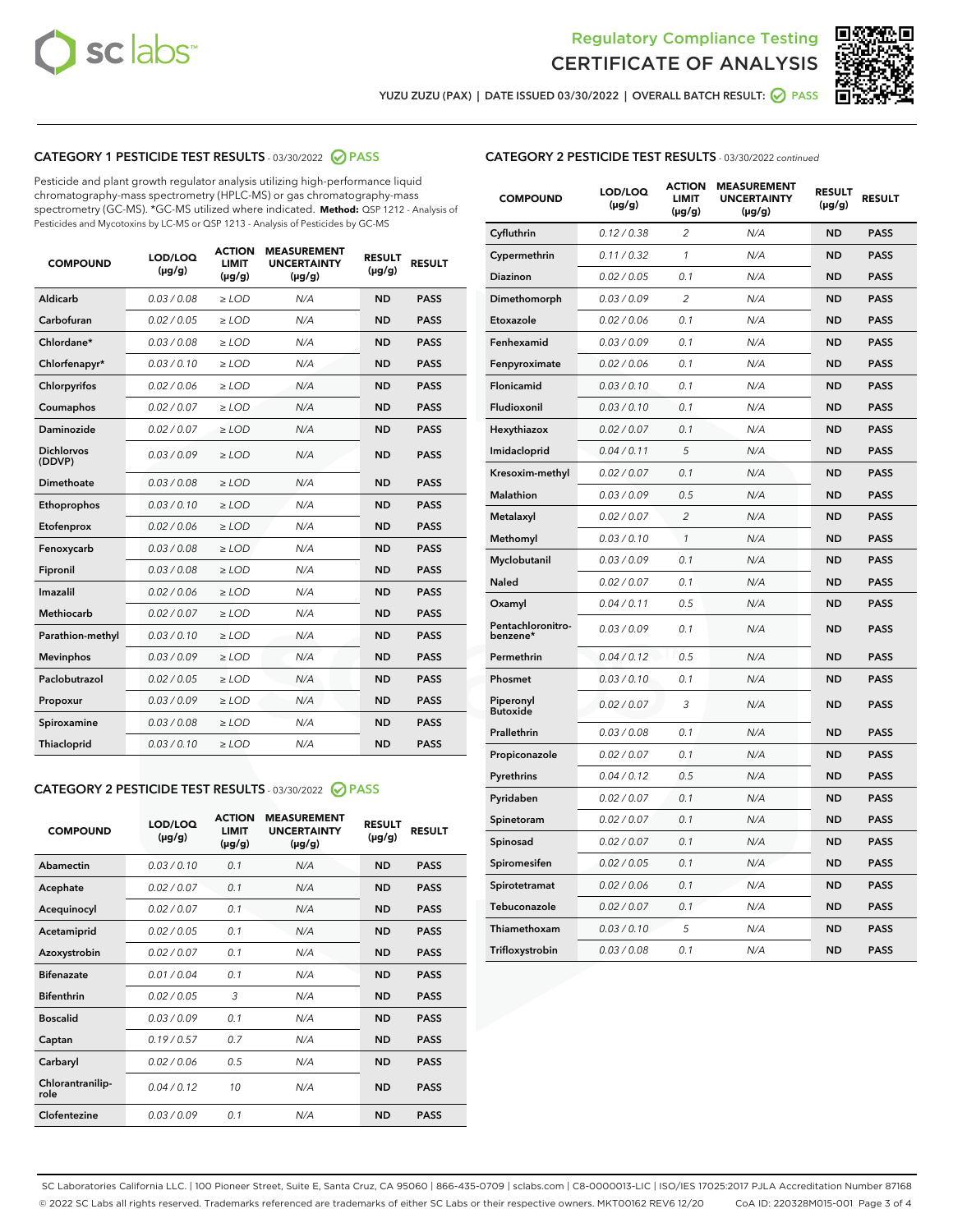



**YUZU ZUZU (PAX) | DATE ISSUED 03/30/2022 | OVERALL BATCH RESULT: PASS**

# **CATEGORY 1 PESTICIDE TEST RESULTS** - 03/30/2022 **PASS**

Pesticide and plant growth regulator analysis utilizing high-performance liquid chromatography-mass spectrometry (HPLC-MS) or gas chromatography-mass spectrometry (GC-MS). \*GC-MS utilized where indicated. **Method:** QSP 1212 - Analysis of Pesticides and Mycotoxins by LC-MS or QSP 1213 - Analysis of Pesticides by GC-MS

| 0.03 / 0.08<br>Aldicarb<br>$\ge$ LOD<br>N/A<br><b>ND</b><br><b>PASS</b><br>Carbofuran<br>0.02 / 0.05<br><b>ND</b><br>$\ge$ LOD<br>N/A<br><b>PASS</b><br>Chlordane*<br>0.03 / 0.08<br>$\ge$ LOD<br>N/A<br><b>ND</b><br><b>PASS</b><br>Chlorfenapyr*<br>0.03/0.10<br>N/A<br><b>ND</b><br><b>PASS</b><br>≥ LOD<br>Chlorpyrifos<br>0.02/0.06<br>$>$ LOD<br>N/A<br><b>ND</b><br><b>PASS</b><br>0.02 / 0.07<br>N/A<br><b>ND</b><br>Coumaphos<br>$\geq$ LOD<br><b>PASS</b><br>Daminozide<br>0.02 / 0.07<br><b>ND</b><br>$\ge$ LOD<br>N/A<br><b>PASS</b><br><b>Dichlorvos</b><br>0.03/0.09<br>N/A<br><b>ND</b><br>$>$ LOD<br><b>PASS</b><br>(DDVP)<br>Dimethoate<br>0.03 / 0.08<br>N/A<br><b>ND</b><br><b>PASS</b><br>$>$ LOD<br><b>ND</b><br><b>PASS</b><br>0.03/0.10<br>$\geq$ LOD<br>N/A<br>Ethoprophos<br>0.02 / 0.06<br>N/A<br><b>ND</b><br><b>PASS</b><br>Etofenprox<br>$\geq$ LOD<br>0.03 / 0.08<br>N/A<br><b>ND</b><br><b>PASS</b><br>Fenoxycarb<br>$\geq$ LOD<br>0.03 / 0.08<br>N/A<br><b>ND</b><br><b>PASS</b><br>Fipronil<br>$\geq$ LOD<br>Imazalil<br>0.02 / 0.06<br>$>$ LOD<br>N/A<br><b>ND</b><br><b>PASS</b><br><b>Methiocarb</b><br>0.02 / 0.07<br><b>ND</b><br><b>PASS</b><br>$>$ LOD<br>N/A<br>0.03/0.10<br>N/A<br><b>ND</b><br><b>PASS</b><br>Parathion-methyl<br>$\geq$ LOD<br>0.03/0.09<br>$\ge$ LOD<br>N/A<br><b>ND</b><br><b>PASS</b><br><b>Mevinphos</b><br>Paclobutrazol<br>0.02 / 0.05<br>N/A<br><b>ND</b><br><b>PASS</b><br>$\geq$ LOD<br>0.03/0.09<br>$>$ LOD<br>N/A<br><b>ND</b><br><b>PASS</b><br>Propoxur<br>0.03 / 0.08<br>$\ge$ LOD<br>N/A<br><b>ND</b><br><b>PASS</b><br>Spiroxamine<br>0.03/0.10<br>$\ge$ LOD<br>N/A<br><b>ND</b><br><b>PASS</b><br><b>Thiacloprid</b> | <b>COMPOUND</b> | LOD/LOQ<br>$(\mu g/g)$ | <b>ACTION</b><br><b>LIMIT</b><br>$(\mu g/g)$ | <b>MEASUREMENT</b><br><b>UNCERTAINTY</b><br>$(\mu g/g)$ | <b>RESULT</b><br>$(\mu g/g)$ | <b>RESULT</b> |
|---------------------------------------------------------------------------------------------------------------------------------------------------------------------------------------------------------------------------------------------------------------------------------------------------------------------------------------------------------------------------------------------------------------------------------------------------------------------------------------------------------------------------------------------------------------------------------------------------------------------------------------------------------------------------------------------------------------------------------------------------------------------------------------------------------------------------------------------------------------------------------------------------------------------------------------------------------------------------------------------------------------------------------------------------------------------------------------------------------------------------------------------------------------------------------------------------------------------------------------------------------------------------------------------------------------------------------------------------------------------------------------------------------------------------------------------------------------------------------------------------------------------------------------------------------------------------------------------------------------------------------------------------------------------------------------------------|-----------------|------------------------|----------------------------------------------|---------------------------------------------------------|------------------------------|---------------|
|                                                                                                                                                                                                                                                                                                                                                                                                                                                                                                                                                                                                                                                                                                                                                                                                                                                                                                                                                                                                                                                                                                                                                                                                                                                                                                                                                                                                                                                                                                                                                                                                                                                                                                   |                 |                        |                                              |                                                         |                              |               |
|                                                                                                                                                                                                                                                                                                                                                                                                                                                                                                                                                                                                                                                                                                                                                                                                                                                                                                                                                                                                                                                                                                                                                                                                                                                                                                                                                                                                                                                                                                                                                                                                                                                                                                   |                 |                        |                                              |                                                         |                              |               |
|                                                                                                                                                                                                                                                                                                                                                                                                                                                                                                                                                                                                                                                                                                                                                                                                                                                                                                                                                                                                                                                                                                                                                                                                                                                                                                                                                                                                                                                                                                                                                                                                                                                                                                   |                 |                        |                                              |                                                         |                              |               |
|                                                                                                                                                                                                                                                                                                                                                                                                                                                                                                                                                                                                                                                                                                                                                                                                                                                                                                                                                                                                                                                                                                                                                                                                                                                                                                                                                                                                                                                                                                                                                                                                                                                                                                   |                 |                        |                                              |                                                         |                              |               |
|                                                                                                                                                                                                                                                                                                                                                                                                                                                                                                                                                                                                                                                                                                                                                                                                                                                                                                                                                                                                                                                                                                                                                                                                                                                                                                                                                                                                                                                                                                                                                                                                                                                                                                   |                 |                        |                                              |                                                         |                              |               |
|                                                                                                                                                                                                                                                                                                                                                                                                                                                                                                                                                                                                                                                                                                                                                                                                                                                                                                                                                                                                                                                                                                                                                                                                                                                                                                                                                                                                                                                                                                                                                                                                                                                                                                   |                 |                        |                                              |                                                         |                              |               |
|                                                                                                                                                                                                                                                                                                                                                                                                                                                                                                                                                                                                                                                                                                                                                                                                                                                                                                                                                                                                                                                                                                                                                                                                                                                                                                                                                                                                                                                                                                                                                                                                                                                                                                   |                 |                        |                                              |                                                         |                              |               |
|                                                                                                                                                                                                                                                                                                                                                                                                                                                                                                                                                                                                                                                                                                                                                                                                                                                                                                                                                                                                                                                                                                                                                                                                                                                                                                                                                                                                                                                                                                                                                                                                                                                                                                   |                 |                        |                                              |                                                         |                              |               |
|                                                                                                                                                                                                                                                                                                                                                                                                                                                                                                                                                                                                                                                                                                                                                                                                                                                                                                                                                                                                                                                                                                                                                                                                                                                                                                                                                                                                                                                                                                                                                                                                                                                                                                   |                 |                        |                                              |                                                         |                              |               |
|                                                                                                                                                                                                                                                                                                                                                                                                                                                                                                                                                                                                                                                                                                                                                                                                                                                                                                                                                                                                                                                                                                                                                                                                                                                                                                                                                                                                                                                                                                                                                                                                                                                                                                   |                 |                        |                                              |                                                         |                              |               |
|                                                                                                                                                                                                                                                                                                                                                                                                                                                                                                                                                                                                                                                                                                                                                                                                                                                                                                                                                                                                                                                                                                                                                                                                                                                                                                                                                                                                                                                                                                                                                                                                                                                                                                   |                 |                        |                                              |                                                         |                              |               |
|                                                                                                                                                                                                                                                                                                                                                                                                                                                                                                                                                                                                                                                                                                                                                                                                                                                                                                                                                                                                                                                                                                                                                                                                                                                                                                                                                                                                                                                                                                                                                                                                                                                                                                   |                 |                        |                                              |                                                         |                              |               |
|                                                                                                                                                                                                                                                                                                                                                                                                                                                                                                                                                                                                                                                                                                                                                                                                                                                                                                                                                                                                                                                                                                                                                                                                                                                                                                                                                                                                                                                                                                                                                                                                                                                                                                   |                 |                        |                                              |                                                         |                              |               |
|                                                                                                                                                                                                                                                                                                                                                                                                                                                                                                                                                                                                                                                                                                                                                                                                                                                                                                                                                                                                                                                                                                                                                                                                                                                                                                                                                                                                                                                                                                                                                                                                                                                                                                   |                 |                        |                                              |                                                         |                              |               |
|                                                                                                                                                                                                                                                                                                                                                                                                                                                                                                                                                                                                                                                                                                                                                                                                                                                                                                                                                                                                                                                                                                                                                                                                                                                                                                                                                                                                                                                                                                                                                                                                                                                                                                   |                 |                        |                                              |                                                         |                              |               |
|                                                                                                                                                                                                                                                                                                                                                                                                                                                                                                                                                                                                                                                                                                                                                                                                                                                                                                                                                                                                                                                                                                                                                                                                                                                                                                                                                                                                                                                                                                                                                                                                                                                                                                   |                 |                        |                                              |                                                         |                              |               |
|                                                                                                                                                                                                                                                                                                                                                                                                                                                                                                                                                                                                                                                                                                                                                                                                                                                                                                                                                                                                                                                                                                                                                                                                                                                                                                                                                                                                                                                                                                                                                                                                                                                                                                   |                 |                        |                                              |                                                         |                              |               |
|                                                                                                                                                                                                                                                                                                                                                                                                                                                                                                                                                                                                                                                                                                                                                                                                                                                                                                                                                                                                                                                                                                                                                                                                                                                                                                                                                                                                                                                                                                                                                                                                                                                                                                   |                 |                        |                                              |                                                         |                              |               |
|                                                                                                                                                                                                                                                                                                                                                                                                                                                                                                                                                                                                                                                                                                                                                                                                                                                                                                                                                                                                                                                                                                                                                                                                                                                                                                                                                                                                                                                                                                                                                                                                                                                                                                   |                 |                        |                                              |                                                         |                              |               |
|                                                                                                                                                                                                                                                                                                                                                                                                                                                                                                                                                                                                                                                                                                                                                                                                                                                                                                                                                                                                                                                                                                                                                                                                                                                                                                                                                                                                                                                                                                                                                                                                                                                                                                   |                 |                        |                                              |                                                         |                              |               |
|                                                                                                                                                                                                                                                                                                                                                                                                                                                                                                                                                                                                                                                                                                                                                                                                                                                                                                                                                                                                                                                                                                                                                                                                                                                                                                                                                                                                                                                                                                                                                                                                                                                                                                   |                 |                        |                                              |                                                         |                              |               |

# **CATEGORY 2 PESTICIDE TEST RESULTS** - 03/30/2022 **PASS**

| <b>COMPOUND</b>          | LOD/LOO<br>$(\mu g/g)$ | <b>ACTION</b><br><b>LIMIT</b><br>(µg/g) | <b>MEASUREMENT</b><br><b>UNCERTAINTY</b><br>$(\mu g/g)$ | <b>RESULT</b><br>$(\mu g/g)$ | <b>RESULT</b> |  |
|--------------------------|------------------------|-----------------------------------------|---------------------------------------------------------|------------------------------|---------------|--|
| Abamectin                | 0.03/0.10              | 0.1                                     | N/A                                                     | <b>ND</b>                    | <b>PASS</b>   |  |
| Acephate                 | 0.02/0.07              | 0.1                                     | N/A                                                     | <b>ND</b>                    | <b>PASS</b>   |  |
| Acequinocyl              | 0.02/0.07              | 0.1                                     | N/A                                                     | <b>ND</b>                    | <b>PASS</b>   |  |
| Acetamiprid              | 0.02/0.05              | 0.1                                     | N/A                                                     | <b>ND</b>                    | <b>PASS</b>   |  |
| Azoxystrobin             | 0.02/0.07              | 0.1                                     | N/A                                                     | <b>ND</b>                    | <b>PASS</b>   |  |
| <b>Bifenazate</b>        | 0.01/0.04              | 0.1                                     | N/A                                                     | <b>ND</b>                    | <b>PASS</b>   |  |
| <b>Bifenthrin</b>        | 0.02/0.05              | 3                                       | N/A                                                     | <b>ND</b>                    | <b>PASS</b>   |  |
| <b>Boscalid</b>          | 0.03/0.09              | 0.1                                     | N/A                                                     | <b>ND</b>                    | <b>PASS</b>   |  |
| Captan                   | 0.19/0.57              | 0.7                                     | N/A                                                     | <b>ND</b>                    | <b>PASS</b>   |  |
| Carbaryl                 | 0.02/0.06              | 0.5                                     | N/A                                                     | <b>ND</b>                    | <b>PASS</b>   |  |
| Chlorantranilip-<br>role | 0.04/0.12              | 10                                      | N/A                                                     | <b>ND</b>                    | <b>PASS</b>   |  |
| Clofentezine             | 0.03/0.09              | 0.1                                     | N/A                                                     | <b>ND</b>                    | <b>PASS</b>   |  |

# **CATEGORY 2 PESTICIDE TEST RESULTS** - 03/30/2022 continued

| <b>COMPOUND</b>               | LOD/LOQ<br>(µg/g) | <b>ACTION</b><br><b>LIMIT</b><br>(µg/g) | <b>MEASUREMENT</b><br><b>UNCERTAINTY</b><br>$(\mu g/g)$ | <b>RESULT</b><br>(µg/g) | <b>RESULT</b> |
|-------------------------------|-------------------|-----------------------------------------|---------------------------------------------------------|-------------------------|---------------|
| Cyfluthrin                    | 0.12 / 0.38       | $\overline{c}$                          | N/A                                                     | <b>ND</b>               | <b>PASS</b>   |
| Cypermethrin                  | 0.11 / 0.32       | $\mathcal{I}$                           | N/A                                                     | <b>ND</b>               | <b>PASS</b>   |
| <b>Diazinon</b>               | 0.02 / 0.05       | 0.1                                     | N/A                                                     | <b>ND</b>               | <b>PASS</b>   |
| Dimethomorph                  | 0.03 / 0.09       | 2                                       | N/A                                                     | <b>ND</b>               | PASS          |
| Etoxazole                     | 0.02 / 0.06       | 0.1                                     | N/A                                                     | <b>ND</b>               | <b>PASS</b>   |
| Fenhexamid                    | 0.03 / 0.09       | 0.1                                     | N/A                                                     | <b>ND</b>               | <b>PASS</b>   |
| Fenpyroximate                 | 0.02 / 0.06       | 0.1                                     | N/A                                                     | <b>ND</b>               | <b>PASS</b>   |
| Flonicamid                    | 0.03 / 0.10       | 0.1                                     | N/A                                                     | ND                      | PASS          |
| Fludioxonil                   | 0.03 / 0.10       | 0.1                                     | N/A                                                     | <b>ND</b>               | <b>PASS</b>   |
| Hexythiazox                   | 0.02 / 0.07       | 0.1                                     | N/A                                                     | <b>ND</b>               | <b>PASS</b>   |
| Imidacloprid                  | 0.04 / 0.11       | 5                                       | N/A                                                     | <b>ND</b>               | <b>PASS</b>   |
| Kresoxim-methyl               | 0.02 / 0.07       | 0.1                                     | N/A                                                     | <b>ND</b>               | <b>PASS</b>   |
| <b>Malathion</b>              | 0.03 / 0.09       | 0.5                                     | N/A                                                     | <b>ND</b>               | PASS          |
| Metalaxyl                     | 0.02 / 0.07       | $\overline{c}$                          | N/A                                                     | <b>ND</b>               | <b>PASS</b>   |
| Methomyl                      | 0.03 / 0.10       | $\mathcal{I}$                           | N/A                                                     | <b>ND</b>               | <b>PASS</b>   |
| Myclobutanil                  | 0.03 / 0.09       | 0.1                                     | N/A                                                     | <b>ND</b>               | <b>PASS</b>   |
| Naled                         | 0.02 / 0.07       | 0.1                                     | N/A                                                     | ND                      | <b>PASS</b>   |
| Oxamyl                        | 0.04 / 0.11       | 0.5                                     | N/A                                                     | ND                      | PASS          |
| Pentachloronitro-<br>benzene* | 0.03/0.09         | 0.1                                     | N/A                                                     | <b>ND</b>               | <b>PASS</b>   |
| Permethrin                    | 0.04 / 0.12       | 0.5                                     | N/A                                                     | ND                      | <b>PASS</b>   |
| Phosmet                       | 0.03 / 0.10       | 0.1                                     | N/A                                                     | ND                      | <b>PASS</b>   |
| Piperonyl<br><b>Butoxide</b>  | 0.02 / 0.07       | 3                                       | N/A                                                     | ND                      | <b>PASS</b>   |
| Prallethrin                   | 0.03 / 0.08       | 0.1                                     | N/A                                                     | <b>ND</b>               | <b>PASS</b>   |
| Propiconazole                 | 0.02 / 0.07       | 0.1                                     | N/A                                                     | ND                      | PASS          |
| Pyrethrins                    | 0.04 / 0.12       | 0.5                                     | N/A                                                     | ND                      | PASS          |
| Pyridaben                     | 0.02 / 0.07       | 0.1                                     | N/A                                                     | ND                      | <b>PASS</b>   |
| Spinetoram                    | 0.02 / 0.07       | 0.1                                     | N/A                                                     | <b>ND</b>               | PASS          |
| Spinosad                      | 0.02 / 0.07       | 0.1                                     | N/A                                                     | <b>ND</b>               | <b>PASS</b>   |
| Spiromesifen                  | 0.02 / 0.05       | 0.1                                     | N/A                                                     | <b>ND</b>               | <b>PASS</b>   |
| Spirotetramat                 | 0.02 / 0.06       | 0.1                                     | N/A                                                     | ND                      | <b>PASS</b>   |
| Tebuconazole                  | 0.02 / 0.07       | 0.1                                     | N/A                                                     | ND                      | <b>PASS</b>   |
| Thiamethoxam                  | 0.03 / 0.10       | 5                                       | N/A                                                     | <b>ND</b>               | <b>PASS</b>   |
| Trifloxystrobin               | 0.03 / 0.08       | 0.1                                     | N/A                                                     | <b>ND</b>               | <b>PASS</b>   |

SC Laboratories California LLC. | 100 Pioneer Street, Suite E, Santa Cruz, CA 95060 | 866-435-0709 | sclabs.com | C8-0000013-LIC | ISO/IES 17025:2017 PJLA Accreditation Number 87168 © 2022 SC Labs all rights reserved. Trademarks referenced are trademarks of either SC Labs or their respective owners. MKT00162 REV6 12/20 CoA ID: 220328M015-001 Page 3 of 4